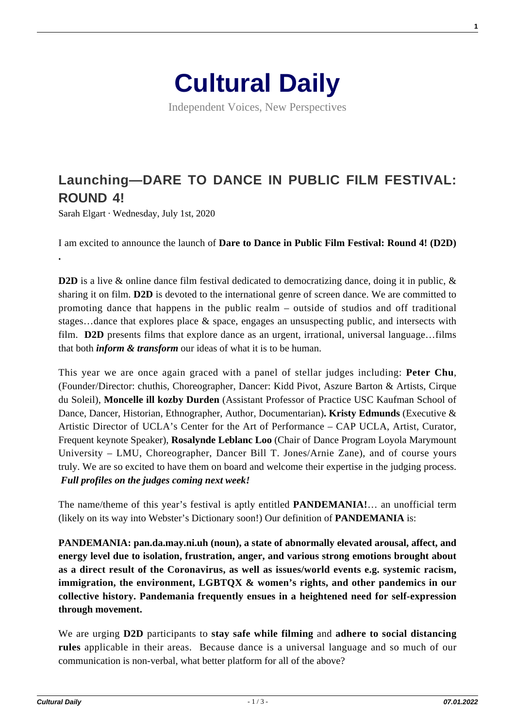

Independent Voices, New Perspectives

# **[Launching—DARE TO DANCE IN PUBLIC FILM FESTIVAL:](https://culturaldaily.com/launching-dare-to-dance-in-public-film-festival-round-4/) [ROUND 4!](https://culturaldaily.com/launching-dare-to-dance-in-public-film-festival-round-4/)**

Sarah Elgart · Wednesday, July 1st, 2020

**.** 

I am excited to announce the launch of **Dare to Dance in Public Film Festival: Round 4! (D2D)**

**D2D** is a live & online dance film festival dedicated to democratizing dance, doing it in public, & sharing it on film. **D2D** is devoted to the international genre of screen dance. We are committed to promoting dance that happens in the public realm – outside of studios and off traditional stages…dance that explores place & space, engages an unsuspecting public, and intersects with film. **D2D** presents films that explore dance as an urgent, irrational, universal language…films that both *inform & transform* our ideas of what it is to be human.

This year we are once again graced with a panel of stellar judges including: **Peter Chu**, (Founder/Director: chuthis, Choreographer, Dancer: Kidd Pivot, Aszure Barton & Artists, Cirque du Soleil), **Moncelle ill kozby Durden** (Assistant Professor of Practice USC Kaufman School of Dance, Dancer, Historian, Ethnographer, Author, Documentarian)**. Kristy Edmunds** (Executive & Artistic Director of UCLA's Center for the Art of Performance – CAP UCLA, Artist, Curator, Frequent keynote Speaker), **Rosalynde Leblanc Loo** (Chair of Dance Program Loyola Marymount University – LMU, Choreographer, Dancer Bill T. Jones/Arnie Zane), and of course yours truly. We are so excited to have them on board and welcome their expertise in the judging process. *Full profiles on the judges coming next week!*

The name/theme of this year's festival is aptly entitled **PANDEMANIA!**… an unofficial term (likely on its way into Webster's Dictionary soon!) Our definition of **PANDEMANIA** is:

**PANDEMANIA: pan.da.may.ni.uh (noun), a state of abnormally elevated arousal, affect, and energy level due to isolation, frustration, anger, and various strong emotions brought about as a direct result of the Coronavirus, as well as issues/world events e.g. systemic racism, immigration, the environment, LGBTQX & women's rights, and other pandemics in our collective history. Pandemania frequently ensues in a heightened need for self-expression through movement.**

We are urging **D2D** participants to **stay safe while filming** and **adhere to social distancing rules** applicable in their areas. Because dance is a universal language and so much of our communication is non-verbal, what better platform for all of the above?

**1**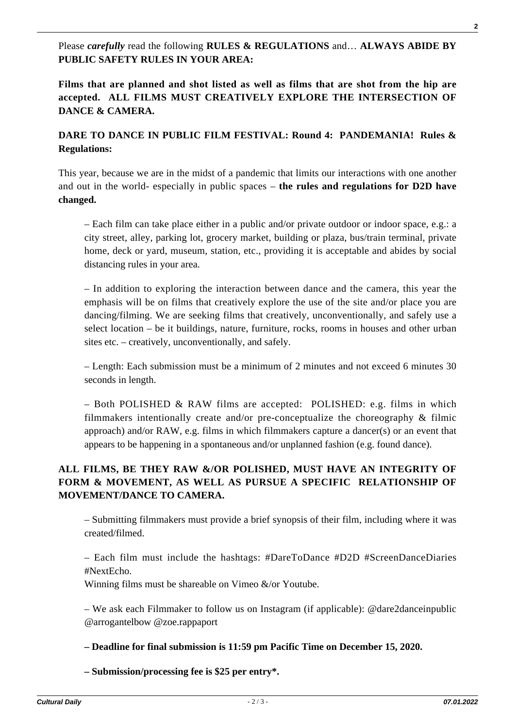Please *carefully* read the following **RULES & REGULATIONS** and… **ALWAYS ABIDE BY PUBLIC SAFETY RULES IN YOUR AREA:**

**Films that are planned and shot listed as well as films that are shot from the hip are accepted. ALL FILMS MUST CREATIVELY EXPLORE THE INTERSECTION OF DANCE & CAMERA.**

## **DARE TO DANCE IN PUBLIC FILM FESTIVAL: Round 4: PANDEMANIA! Rules & Regulations:**

This year, because we are in the midst of a pandemic that limits our interactions with one another and out in the world- especially in public spaces – **the rules and regulations for D2D have changed.**

– Each film can take place either in a public and/or private outdoor or indoor space, e.g.: a city street, alley, parking lot, grocery market, building or plaza, bus/train terminal, private home, deck or yard, museum, station, etc., providing it is acceptable and abides by social distancing rules in your area.

– In addition to exploring the interaction between dance and the camera, this year the emphasis will be on films that creatively explore the use of the site and/or place you are dancing/filming. We are seeking films that creatively, unconventionally, and safely use a select location – be it buildings, nature, furniture, rocks, rooms in houses and other urban sites etc. – creatively, unconventionally, and safely.

– Length: Each submission must be a minimum of 2 minutes and not exceed 6 minutes 30 seconds in length.

– Both POLISHED & RAW films are accepted: POLISHED: e.g. films in which filmmakers intentionally create and/or pre-conceptualize the choreography  $\&$  filmic approach) and/or RAW, e.g. films in which filmmakers capture a dancer(s) or an event that appears to be happening in a spontaneous and/or unplanned fashion (e.g. found dance).

## **ALL FILMS, BE THEY RAW &/OR POLISHED, MUST HAVE AN INTEGRITY OF FORM & MOVEMENT, AS WELL AS PURSUE A SPECIFIC RELATIONSHIP OF MOVEMENT/DANCE TO CAMERA.**

– Submitting filmmakers must provide a brief synopsis of their film, including where it was created/filmed.

– Each film must include the hashtags: #DareToDance #D2D #ScreenDanceDiaries #NextEcho.

Winning films must be shareable on Vimeo &/or Youtube.

– We ask each Filmmaker to follow us on Instagram (if applicable): @dare2danceinpublic @arrogantelbow @zoe.rappaport

### **– Deadline for final submission is 11:59 pm Pacific Time on December 15, 2020.**

**– Submission/processing fee is \$25 per entry\*.**